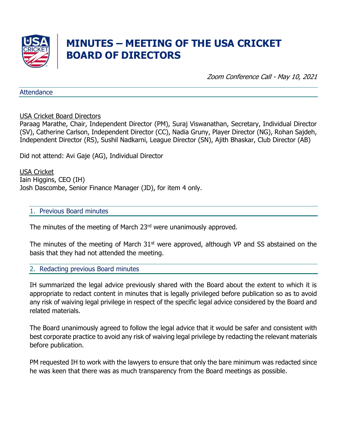

# **MINUTES – MEETING OF THE USA CRICKET BOARD OF DIRECTORS**

Zoom Conference Call - May 10, 2021

**Attendance** 

USA Cricket Board Directors

Paraag Marathe, Chair, Independent Director (PM), Suraj Viswanathan, Secretary, Individual Director (SV), Catherine Carlson, Independent Director (CC), Nadia Gruny, Player Director (NG), Rohan Sajdeh, Independent Director (RS), Sushil Nadkarni, League Director (SN), Ajith Bhaskar, Club Director (AB)

Did not attend: Avi Gaje (AG), Individual Director

USA Cricket Iain Higgins, CEO (IH) Josh Dascombe, Senior Finance Manager (JD), for item 4 only.

#### 1. Previous Board minutes

The minutes of the meeting of March 23<sup>rd</sup> were unanimously approved.

The minutes of the meeting of March  $31<sup>st</sup>$  were approved, although VP and SS abstained on the basis that they had not attended the meeting.

#### 2. Redacting previous Board minutes

IH summarized the legal advice previously shared with the Board about the extent to which it is appropriate to redact content in minutes that is legally privileged before publication so as to avoid any risk of waiving legal privilege in respect of the specific legal advice considered by the Board and related materials.

The Board unanimously agreed to follow the legal advice that it would be safer and consistent with best corporate practice to avoid any risk of waiving legal privilege by redacting the relevant materials before publication.

PM requested IH to work with the lawyers to ensure that only the bare minimum was redacted since he was keen that there was as much transparency from the Board meetings as possible.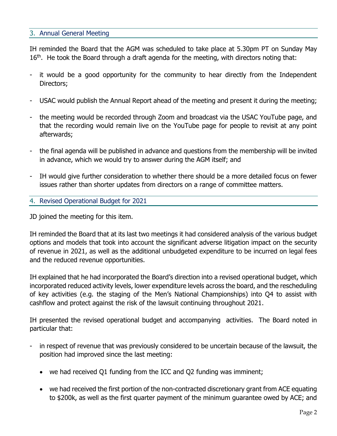### 3. Annual General Meeting

IH reminded the Board that the AGM was scheduled to take place at 5.30pm PT on Sunday May  $16<sup>th</sup>$ . He took the Board through a draft agenda for the meeting, with directors noting that:

- it would be a good opportunity for the community to hear directly from the Independent Directors;
- USAC would publish the Annual Report ahead of the meeting and present it during the meeting;
- the meeting would be recorded through Zoom and broadcast via the USAC YouTube page, and that the recording would remain live on the YouTube page for people to revisit at any point afterwards;
- the final agenda will be published in advance and questions from the membership will be invited in advance, which we would try to answer during the AGM itself; and
- IH would give further consideration to whether there should be a more detailed focus on fewer issues rather than shorter updates from directors on a range of committee matters.
- 4. Revised Operational Budget for 2021

JD joined the meeting for this item.

IH reminded the Board that at its last two meetings it had considered analysis of the various budget options and models that took into account the significant adverse litigation impact on the security of revenue in 2021, as well as the additional unbudgeted expenditure to be incurred on legal fees and the reduced revenue opportunities.

IH explained that he had incorporated the Board's direction into a revised operational budget, which incorporated reduced activity levels, lower expenditure levels across the board, and the rescheduling of key activities (e.g. the staging of the Men's National Championships) into Q4 to assist with cashflow and protect against the risk of the lawsuit continuing throughout 2021.

IH presented the revised operational budget and accompanying activities. The Board noted in particular that:

- in respect of revenue that was previously considered to be uncertain because of the lawsuit, the position had improved since the last meeting:
	- we had received Q1 funding from the ICC and Q2 funding was imminent;
	- we had received the first portion of the non-contracted discretionary grant from ACE equating to \$200k, as well as the first quarter payment of the minimum guarantee owed by ACE; and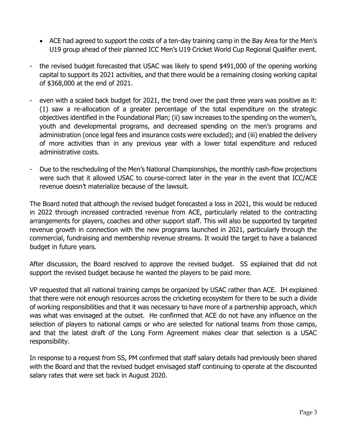- ACE had agreed to support the costs of a ten-day training camp in the Bay Area for the Men's U19 group ahead of their planned ICC Men's U19 Cricket World Cup Regional Qualifier event.
- the revised budget forecasted that USAC was likely to spend \$491,000 of the opening working capital to support its 2021 activities, and that there would be a remaining closing working capital of \$368,000 at the end of 2021.
- even with a scaled back budget for 2021, the trend over the past three years was positive as it: (1) saw a re-allocation of a greater percentage of the total expenditure on the strategic objectives identified in the Foundational Plan; (ii) saw increases to the spending on the women's, youth and developmental programs, and decreased spending on the men's programs and administration (once legal fees and insurance costs were excluded); and (iii) enabled the delivery of more activities than in any previous year with a lower total expenditure and reduced administrative costs.
- Due to the rescheduling of the Men's National Championships, the monthly cash-flow projections were such that it allowed USAC to course-correct later in the year in the event that ICC/ACE revenue doesn't materialize because of the lawsuit.

The Board noted that although the revised budget forecasted a loss in 2021, this would be reduced in 2022 through increased contracted revenue from ACE, particularly related to the contracting arrangements for players, coaches and other support staff. This will also be supported by targeted revenue growth in connection with the new programs launched in 2021, particularly through the commercial, fundraising and membership revenue streams. It would the target to have a balanced budget in future years.

After discussion, the Board resolved to approve the revised budget. SS explained that did not support the revised budget because he wanted the players to be paid more.

VP requested that all national training camps be organized by USAC rather than ACE. IH explained that there were not enough resources across the cricketing ecosystem for there to be such a divide of working responsibilities and that it was necessary to have more of a partnership approach, which was what was envisaged at the outset. He confirmed that ACE do not have any influence on the selection of players to national camps or who are selected for national teams from those camps, and that the latest draft of the Long Form Agreement makes clear that selection is a USAC responsibility.

In response to a request from SS, PM confirmed that staff salary details had previously been shared with the Board and that the revised budget envisaged staff continuing to operate at the discounted salary rates that were set back in August 2020.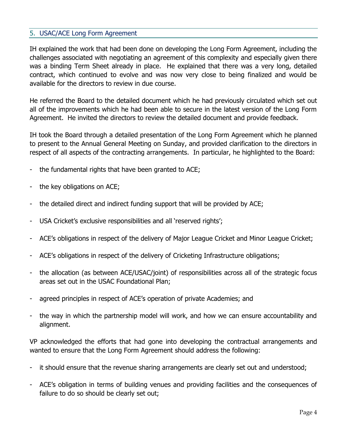## 5. USAC/ACE Long Form Agreement

IH explained the work that had been done on developing the Long Form Agreement, including the challenges associated with negotiating an agreement of this complexity and especially given there was a binding Term Sheet already in place. He explained that there was a very long, detailed contract, which continued to evolve and was now very close to being finalized and would be available for the directors to review in due course.

He referred the Board to the detailed document which he had previously circulated which set out all of the improvements which he had been able to secure in the latest version of the Long Form Agreement. He invited the directors to review the detailed document and provide feedback.

IH took the Board through a detailed presentation of the Long Form Agreement which he planned to present to the Annual General Meeting on Sunday, and provided clarification to the directors in respect of all aspects of the contracting arrangements. In particular, he highlighted to the Board:

- the fundamental rights that have been granted to ACE;
- the key obligations on ACE;
- the detailed direct and indirect funding support that will be provided by ACE;
- USA Cricket's exclusive responsibilities and all 'reserved rights';
- ACE's obligations in respect of the delivery of Major League Cricket and Minor League Cricket;
- ACE's obligations in respect of the delivery of Cricketing Infrastructure obligations;
- the allocation (as between ACE/USAC/joint) of responsibilities across all of the strategic focus areas set out in the USAC Foundational Plan;
- agreed principles in respect of ACE's operation of private Academies; and
- the way in which the partnership model will work, and how we can ensure accountability and alignment.

VP acknowledged the efforts that had gone into developing the contractual arrangements and wanted to ensure that the Long Form Agreement should address the following:

- it should ensure that the revenue sharing arrangements are clearly set out and understood;
- ACE's obligation in terms of building venues and providing facilities and the consequences of failure to do so should be clearly set out;